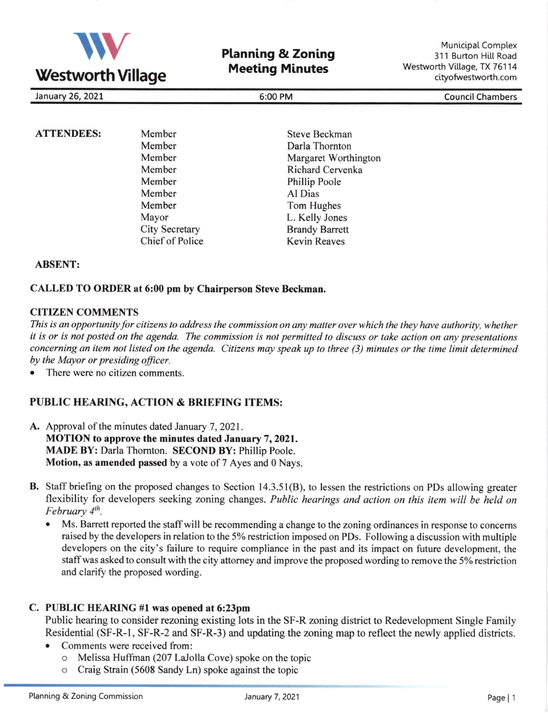

**Planning & Zoning Meeting Minutes** 

Municipal Complex 311 Burton Hitt Road Westworth Village, TX 76114 cityofwestworth.com

January 26, 2021 6:00 PM Council Chambers

### ATTENDEES: Member

Member Member Member Member Member Member Mayor City Secretary Chief of Police

Steve Beckman Darla Thornton Margaret Worthington Richard Cervenka Phillip Poole Al Dias Tom Hughes L. Kelly Jones Brandy Barrett Kevin Reaves

# ABSENT:

### CALLED TO ORDER at 6:00 pm by Chairperson Steve Beckman.

### CITIZEN COMMENTS

This is an opportunity for citizens to address the commission on any matter over which the they have authority, whether it is or is not posted on the agenda. The commission is not permitted to discuss or take action on any presentations concerning an item not listed on the agenda. Citizens may speak up to three (3) minutes or the time limit determined by the Mayor or presiding oficer.

. There were no citizen comments.

# PUBLIC HEARING, ACTION & BRIEFING ITEMS:

- A. Approval of the minutes dated January 7, 2021. MOTION to approve the minutes dated January 7, 2021. MADE BY: Darla Thomton. SECOND BY: Phillip Poole. Motion, as amended passed by a vote of 7 Ayes and 0 Nays.
- B. Staff briefing on the proposed changes to Section 14.3.51(B), to lessen the restrictions on PDs allowing greater flexibility for developers seeking zoning changes. Public hearings and action on this item will be held on February  $4<sup>th</sup>$ .
	- Ms. Barrett reported the staff will be recommending a change to the zoning ordinances in response to concerns raised by the developers in relation to the 5% restriction imposed on PDs. Following a discussion with multiple developers on the city's failure to require compliance in the past and its impact on future development, the staff was asked to consult with the city attorney and improve the proposed wording to remove the 5% restriction and clarify the proposed wording.

#### C. PUBLIC HEARING #l was opened at 6:23pm

Public hearing to consider rezoning existing lots in the SF-R zoning district to Redevelopment Single Family Residential (SF-R-1, SF-R-2 and SF-R-3) and updating the zoning map to reflect the newly applied districts.

- . Comments were received from:
	- o Melissa Huffman (207 LaJolla Cove) spoke on the topic
	- o Craig Strain (5608 Sandy Ln) spoke against the topic